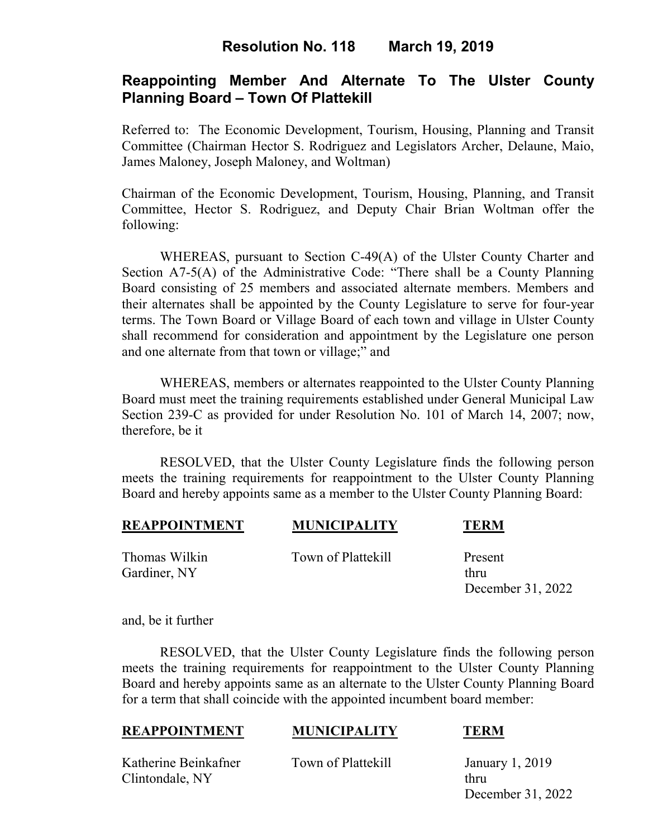# **Resolution No. 118 March 19, 2019**

# **Reappointing Member And Alternate To The Ulster County Planning Board – Town Of Plattekill**

Referred to: The Economic Development, Tourism, Housing, Planning and Transit Committee (Chairman Hector S. Rodriguez and Legislators Archer, Delaune, Maio, James Maloney, Joseph Maloney, and Woltman)

Chairman of the Economic Development, Tourism, Housing, Planning, and Transit Committee, Hector S. Rodriguez, and Deputy Chair Brian Woltman offer the following:

WHEREAS, pursuant to Section C-49(A) of the Ulster County Charter and Section A7-5(A) of the Administrative Code: "There shall be a County Planning Board consisting of 25 members and associated alternate members. Members and their alternates shall be appointed by the County Legislature to serve for four-year terms. The Town Board or Village Board of each town and village in Ulster County shall recommend for consideration and appointment by the Legislature one person and one alternate from that town or village;" and

WHEREAS, members or alternates reappointed to the Ulster County Planning Board must meet the training requirements established under General Municipal Law Section 239-C as provided for under Resolution No. 101 of March 14, 2007; now, therefore, be it

RESOLVED, that the Ulster County Legislature finds the following person meets the training requirements for reappointment to the Ulster County Planning Board and hereby appoints same as a member to the Ulster County Planning Board:

| <b>REAPPOINTMENT</b> | <b>MUNICIPALITY</b> | <b>TERM</b> |
|----------------------|---------------------|-------------|
|                      |                     |             |

Gardiner, NY thru

Thomas Wilkin Town of Plattekill Present

December 31, 2022

and, be it further

RESOLVED, that the Ulster County Legislature finds the following person meets the training requirements for reappointment to the Ulster County Planning Board and hereby appoints same as an alternate to the Ulster County Planning Board for a term that shall coincide with the appointed incumbent board member:

### **REAPPOINTMENT MUNICIPALITY TERM**

Katherine Beinkafner Town of Plattekill January 1, 2019 Clintondale, NY thru

December 31, 2022